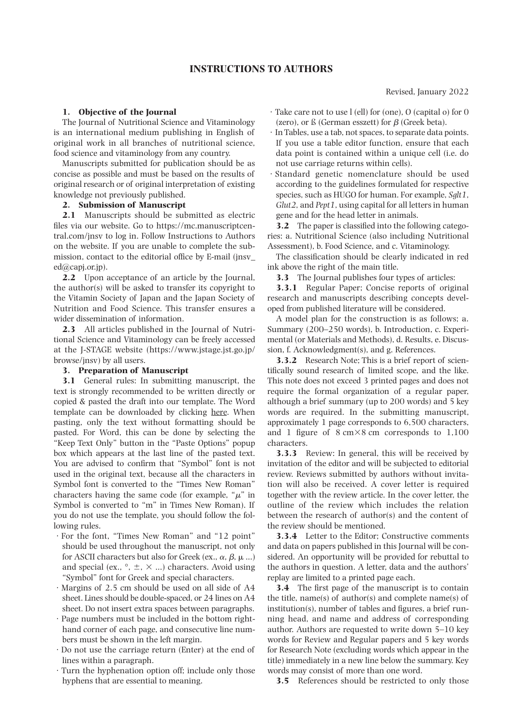# **INSTRUCTIONS TO AUTHORS**

## **1. Objective of the Journal**

The Journal of Nutritional Science and Vitaminology is an international medium publishing in English of original work in all branches of nutritional science, food science and vitaminology from any country.

Manuscripts submitted for publication should be as concise as possible and must be based on the results of original research or of original interpretation of existing knowledge not previously published.

#### **2. Submission of Manuscript**

**2.1** Manuscripts should be submitted as electric files via our website. Go to https://mc.manuscriptcentral.com/jnsv to log in. Follow Instructions to Authors on the website. If you are unable to complete the submission, contact to the editorial office by E-mail (jnsv\_ ed@capj.or.jp).

**2.2** Upon acceptance of an article by the Journal, the author(s) will be asked to transfer its copyright to the Vitamin Society of Japan and the Japan Society of Nutrition and Food Science. This transfer ensures a wider dissemination of information.

**2.3** All articles published in the Journal of Nutritional Science and Vitaminology can be freely accessed at the J-STAGE website (https://www.jstage.jst.go.jp/ browse/jnsv) by all users.

#### **3. Preparation of Manuscript**

**3.1** General rules: In submitting manuscript, the text is strongly recommended to be written directly or copied & pasted the draft into our template. The Word template can be downloaded by clicking here. When pasting, only the text without formatting should be pasted. For Word, this can be done by selecting the "Keep Text Only" button in the "Paste Options" popup box which appears at the last line of the pasted text. You are advised to confirm that "Symbol" font is not used in the original text, because all the characters in Symbol font is converted to the "Times New Roman" characters having the same code (for example, " $\mu$ " in Symbol is converted to "m" in Times New Roman). If you do not use the template, you should follow the following rules.

- · For the font, "Times New Roman" and "12 point" should be used throughout the manuscript, not only for ASCII characters but also for Greek (ex.,  $\alpha$ ,  $\beta$ ,  $\mu$  ...) and special (ex.,  $\circ$ ,  $\pm$ ,  $\times$  ...) characters. Avoid using "Symbol" font for Greek and special characters.
- · Margins of 2.5 cm should be used on all side of A4 sheet. Lines should be double-spaced, or 24 lines on A4 sheet. Do not insert extra spaces between paragraphs.
- · Page numbers must be included in the bottom righthand corner of each page, and consecutive line numbers must be shown in the left margin.
- · Do not use the carriage return (Enter) at the end of lines within a paragraph.
- · Turn the hyphenation option off; include only those hyphens that are essential to meaning.
- · Take care not to use l (ell) for (one), O (capital o) for 0 (zero), or  $\beta$  (German esszett) for  $\beta$  (Greek beta).
- · In Tables, use a tab, not spaces, to separate data points. If you use a table editor function, ensure that each data point is contained within a unique cell (i.e. do not use carriage returns within cells).
- · Standard genetic nomenclature should be used according to the guidelines formulated for respective species, such as HUGO for human. For example, *Sglt1*, *Glut2*, and *Pept1*, using capital for all letters in human gene and for the head letter in animals.

**3.2** The paper is classified into the following categories: a. Nutritional Science (also including Nutritional Assessment), b. Food Science, and c. Vitaminology.

The classification should be clearly indicated in red ink above the right of the main title.

**3.3** The Journal publishes four types of articles:

**3.3.1** Regular Paper; Concise reports of original research and manuscripts describing concepts developed from published literature will be considered.

A model plan for the construction is as follows; a. Summary (200–250 words), b. Introduction, c. Experimental (or Materials and Methods), d. Results, e. Discussion, f. Acknowledgment(s), and g. References.

**3.3.2** Research Note; This is a brief report of scientifically sound research of limited scope, and the like. This note does not exceed 3 printed pages and does not require the formal organization of a regular paper, although a brief summary (up to 200 words) and 5 key words are required. In the submitting manuscript, approximately 1 page corresponds to 6,500 characters, and 1 figure of  $8 \text{ cm} \times 8 \text{ cm}$  corresponds to 1,100 characters.

**3.3.3** Review: In general, this will be received by invitation of the editor and will be subjected to editorial review. Reviews submitted by authors without invitation will also be received. A cover letter is required together with the review article. In the cover letter, the outline of the review which includes the relation between the research of author(s) and the content of the review should be mentioned.

**3.3.4** Letter to the Editor; Constructive comments and data on papers published in this Journal will be considered. An opportunity will be provided for rebuttal to the authors in question. A letter, data and the authors' replay are limited to a printed page each.

**3.4** The first page of the manuscript is to contain the title, name(s) of author(s) and complete name(s) of institution(s), number of tables and figures, a brief running head, and name and address of corresponding author. Authors are requested to write down 5–10 key words for Review and Regular papers and 5 key words for Research Note (excluding words which appear in the title) immediately in a new line below the summary. Key words may consist of more than one word.

**3.5** References should be restricted to only those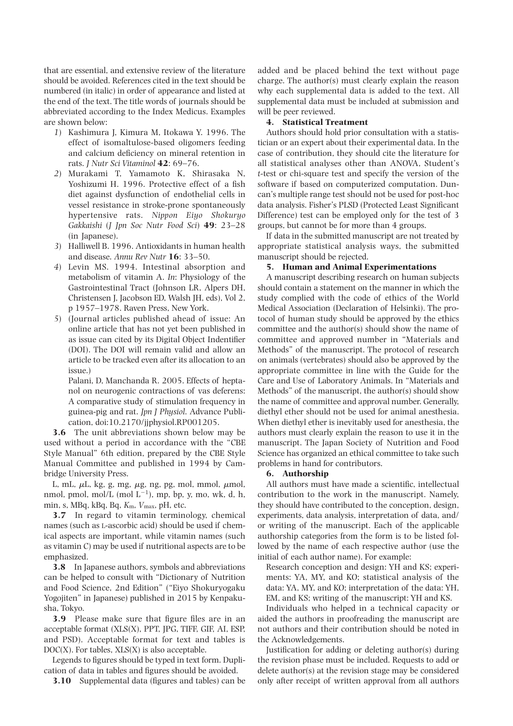that are essential, and extensive review of the literature should be avoided. References cited in the text should be numbered (in italic) in order of appearance and listed at the end of the text. The title words of journals should be abbreviated according to the Index Medicus. Examples are shown below:

- *1*) Kashimura J, Kimura M, Itokawa Y. 1996. The effect of isomaltulose-based oligomers feeding and calcium deficiency on mineral retention in rats. *J Nutr Sci Vitaminol* **42**: 69–76.
- *2*) Murakami T, Yamamoto K, Shirasaka N, Yoshizumi H. 1996. Protective effect of a fish diet against dysfunction of endothelial cells in vessel resistance in stroke-prone spontaneously hypertensive rats. *Nippon Eiyo Shokuryo Gakkaishi* (*J Jpn Soc Nutr Food Sci*) **49**: 23–28 (in Japanese).
- *3*) Halliwell B. 1996. Antioxidants in human health and disease. *Annu Rev Nutr* **16**: 33–50.
- *4*) Levin MS. 1994. Intestinal absorption and metabolism of vitamin A. *In*: Physiology of the Gastrointestinal Tract (Johnson LR, Alpers DH, Christensen J, Jacobson ED, Walsh JH, eds), Vol 2, p 1957–1978. Raven Press, New York.
- *5*) (Journal articles published ahead of issue: An online article that has not yet been published in as issue can cited by its Digital Object Indentifier (DOI). The DOI will remain valid and allow an article to be tracked even after its allocation to an issue.)

Palani, D, Manchanda R. 2005. Effects of heptanol on neurogenic contractions of vas deferens: A comparative study of stimulation frequency in guinea-pig and rat. *Jpn J Physiol*. Advance Publication, doi:10.2170/jjphysiol.RP001205.

**3.6** The unit abbreviations shown below may be used without a period in accordance with the "CBE Style Manual" 6th edition, prepared by the CBE Style Manual Committee and published in 1994 by Cambridge University Press.

L, mL,  $\mu$ L, kg, g, mg,  $\mu$ g, ng, pg, mol, mmol,  $\mu$ mol, nmol, pmol, mol/L (mol  $L^{-1}$ ), mp, bp, y, mo, wk, d, h, min, s, MBq, kBq, Bq, *K*m, *V*max, pH, etc.

**3.7** In regard to vitamin terminology, chemical names (such as l-ascorbic acid) should be used if chemical aspects are important, while vitamin names (such as vitamin C) may be used if nutritional aspects are to be emphasized.

**3.8** In Japanese authors, symbols and abbreviations can be helped to consult with "Dictionary of Nutrition and Food Science, 2nd Edition" ("Eiyo Shokuryogaku Yogojiten" in Japanese) published in 2015 by Kenpakusha, Tokyo.

**3.9** Please make sure that figure files are in an acceptable format (XLS(X), PPT, JPG, TIFF, GIF, AI, ESP, and PSD). Acceptable format for text and tables is  $DOC(X)$ . For tables,  $XLS(X)$  is also acceptable.

Legends to figures should be typed in text form. Duplication of data in tables and figures should be avoided.

**3.10** Supplemental data (figures and tables) can be

added and be placed behind the text without page charge. The author(s) must clearly explain the reason why each supplemental data is added to the text. All supplemental data must be included at submission and will be peer reviewed.

### **4. Statistical Treatment**

Authors should hold prior consultation with a statistician or an expert about their experimental data. In the case of contribution, they should cite the literature for all statistical analyses other than ANOVA, Student's *t-*test or chi-square test and specify the version of the software if based on computerized computation. Duncan's multiple range test should not be used for post-hoc data analysis. Fisher's PLSD (Protected Least Significant Difference) test can be employed only for the test of 3 groups, but cannot be for more than 4 groups.

If data in the submitted manuscript are not treated by appropriate statistical analysis ways, the submitted manuscript should be rejected.

### **5. Human and Animal Experimentations**

A manuscript describing research on human subjects should contain a statement on the manner in which the study complied with the code of ethics of the World Medical Association (Declaration of Helsinki). The protocol of human study should be approved by the ethics committee and the author(s) should show the name of committee and approved number in "Materials and Methods" of the manuscript. The protocol of research on animals (vertebrates) should also be approved by the appropriate committee in line with the Guide for the Care and Use of Laboratory Animals. In "Materials and Methods" of the manuscript, the author(s) should show the name of committee and approval number. Generally, diethyl ether should not be used for animal anesthesia. When diethyl ether is inevitably used for anesthesia, the authors must clearly explain the reason to use it in the manuscript. The Japan Society of Nutrition and Food Science has organized an ethical committee to take such problems in hand for contributors.

#### **6. Authorship**

All authors must have made a scientific, intellectual contribution to the work in the manuscript. Namely, they should have contributed to the conception, design, experiments, data analysis, interpretation of data, and/ or writing of the manuscript. Each of the applicable authorship categories from the form is to be listed followed by the name of each respective author (use the initial of each author name). For example:

Research conception and design: YH and KS; experiments: YA, MY, and KO; statistical analysis of the data: YA, MY, and KO; interpretation of the data: YH, EM, and KS; writing of the manuscript: YH and KS.

Individuals who helped in a technical capacity or aided the authors in proofreading the manuscript are not authors and their contribution should be noted in the Acknowledgements.

Justification for adding or deleting author(s) during the revision phase must be included. Requests to add or delete author(s) at the revision stage may be considered only after receipt of written approval from all authors